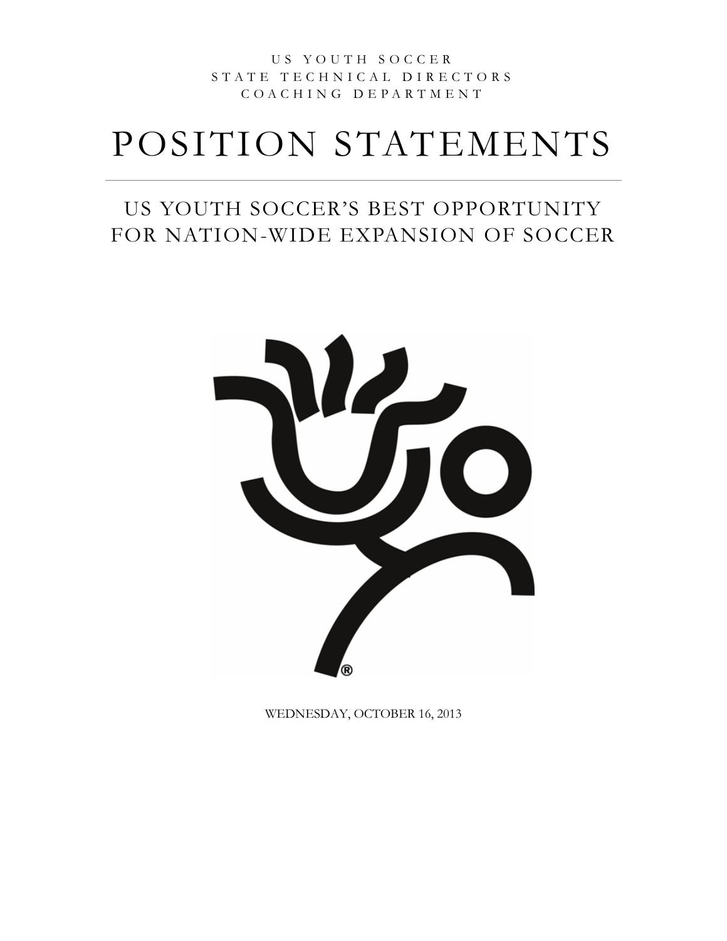### U S Y O U T H S O C C E R S T A T E T E C H N I C A L D I R E C T O R S C O A C H I N G D E P A R T M E N T

# POSITION STATEMENTS

### US YOUTH SOCCER'S BEST OPPORTUNITY FOR NATION-WIDE EXPANSION OF SOCCER



WEDNESDAY, OCTOBER 16, 2013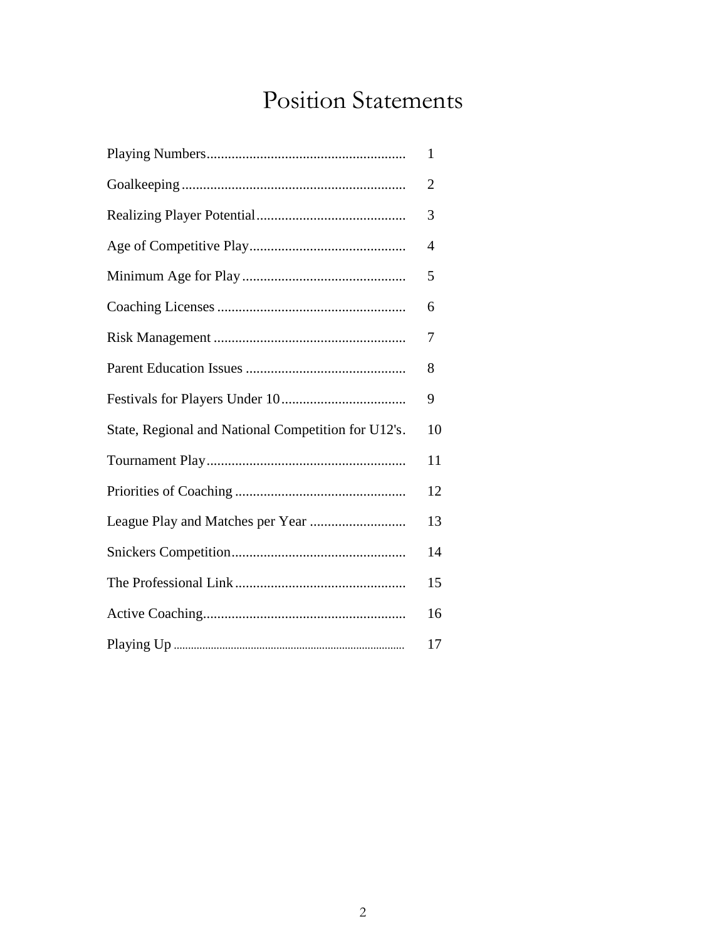## Position Statements

|                                                     | 1              |
|-----------------------------------------------------|----------------|
|                                                     | $\overline{2}$ |
|                                                     | 3              |
|                                                     | 4              |
|                                                     | 5              |
|                                                     | 6              |
|                                                     | 7              |
|                                                     | 8              |
|                                                     | 9              |
| State, Regional and National Competition for U12's. | 10             |
|                                                     | 11             |
|                                                     | 12             |
|                                                     | 13             |
|                                                     | 14             |
|                                                     | 15             |
|                                                     | 16             |
|                                                     | 17             |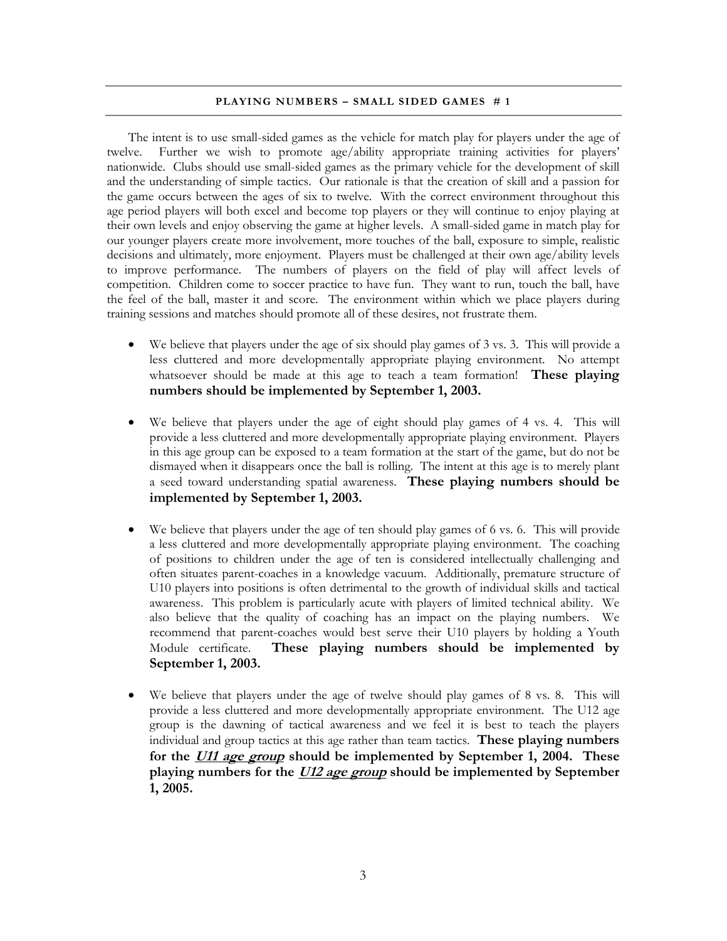#### **PLAYING NUMBERS - SMALL SIDED GAMES** #1

The intent is to use small-sided games as the vehicle for match play for players under the age of twelve. Further we wish to promote age/ability appropriate training activities for players' nationwide. Clubs should use small-sided games as the primary vehicle for the development of skill and the understanding of simple tactics. Our rationale is that the creation of skill and a passion for the game occurs between the ages of six to twelve. With the correct environment throughout this age period players will both excel and become top players or they will continue to enjoy playing at their own levels and enjoy observing the game at higher levels. A small-sided game in match play for our younger players create more involvement, more touches of the ball, exposure to simple, realistic decisions and ultimately, more enjoyment. Players must be challenged at their own age/ability levels to improve performance. The numbers of players on the field of play will affect levels of competition. Children come to soccer practice to have fun. They want to run, touch the ball, have the feel of the ball, master it and score. The environment within which we place players during training sessions and matches should promote all of these desires, not frustrate them.

- $\bullet$  We believe that players under the age of six should play games of 3 vs. 3. This will provide a less cluttered and more developmentally appropriate playing environment. No attempt whatsoever should be made at this age to teach a team formation! **These playing numbers should be implemented by September 1, 2003.**
- We believe that players under the age of eight should play games of 4 vs. 4. This will provide a less cluttered and more developmentally appropriate playing environment. Players in this age group can be exposed to a team formation at the start of the game, but do not be dismayed when it disappears once the ball is rolling. The intent at this age is to merely plant a seed toward understanding spatial awareness. **These playing numbers should be implemented by September 1, 2003.**
- We believe that players under the age of ten should play games of 6 vs. 6. This will provide a less cluttered and more developmentally appropriate playing environment. The coaching of positions to children under the age of ten is considered intellectually challenging and often situates parent-coaches in a knowledge vacuum. Additionally, premature structure of U10 players into positions is often detrimental to the growth of individual skills and tactical awareness. This problem is particularly acute with players of limited technical ability. We also believe that the quality of coaching has an impact on the playing numbers. We recommend that parent-coaches would best serve their U10 players by holding a Youth Module certificate. **These playing numbers should be implemented by September 1, 2003.**
- We believe that players under the age of twelve should play games of 8 vs. 8. This will provide a less cluttered and more developmentally appropriate environment. The U12 age group is the dawning of tactical awareness and we feel it is best to teach the players individual and group tactics at this age rather than team tactics. **These playing numbers for the U11 age group should be implemented by September 1, 2004. These playing numbers for the U12 age group should be implemented by September 1, 2005.**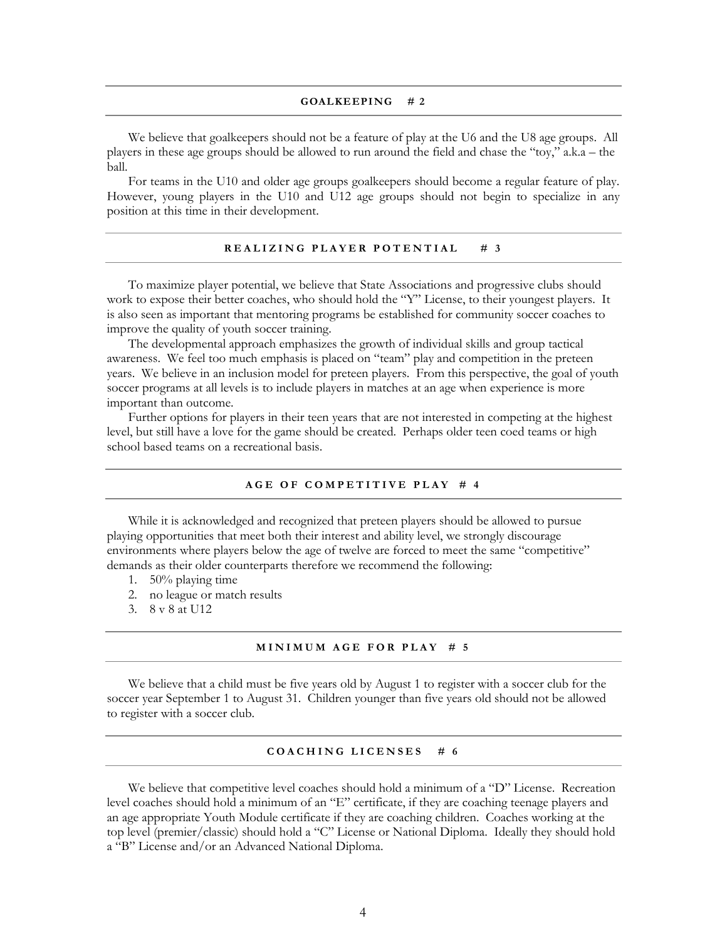#### **GOALKEEPING # 2**

We believe that goalkeepers should not be a feature of play at the U6 and the U8 age groups. All players in these age groups should be allowed to run around the field and chase the "toy," a.k.a – the ball.

For teams in the U10 and older age groups goalkeepers should become a regular feature of play. However, young players in the U10 and U12 age groups should not begin to specialize in any position at this time in their development.

#### **REALIZING PLAYER POTENTIAL** # 3

To maximize player potential, we believe that State Associations and progressive clubs should work to expose their better coaches, who should hold the "Y" License, to their youngest players. It is also seen as important that mentoring programs be established for community soccer coaches to improve the quality of youth soccer training.

The developmental approach emphasizes the growth of individual skills and group tactical awareness. We feel too much emphasis is placed on "team" play and competition in the preteen years. We believe in an inclusion model for preteen players. From this perspective, the goal of youth soccer programs at all levels is to include players in matches at an age when experience is more important than outcome.

Further options for players in their teen years that are not interested in competing at the highest level, but still have a love for the game should be created. Perhaps older teen coed teams or high school based teams on a recreational basis.

#### **A G E O F C O M P E T I T I V E P L A Y # 4**

While it is acknowledged and recognized that preteen players should be allowed to pursue playing opportunities that meet both their interest and ability level, we strongly discourage environments where players below the age of twelve are forced to meet the same "competitive" demands as their older counterparts therefore we recommend the following:

- 1. 50% playing time
- 2. no league or match results
- 3. 8 v 8 at U12

#### **M I N I M U M A G E F O R P L A Y # 5**

 We believe that a child must be five years old by August 1 to register with a soccer club for the soccer year September 1 to August 31. Children younger than five years old should not be allowed to register with a soccer club.

#### **C O A C H I N G L I C E N S E S # 6**

We believe that competitive level coaches should hold a minimum of a "D" License. Recreation level coaches should hold a minimum of an "E" certificate, if they are coaching teenage players and an age appropriate Youth Module certificate if they are coaching children. Coaches working at the top level (premier/classic) should hold a "C" License or National Diploma. Ideally they should hold a "B" License and/or an Advanced National Diploma.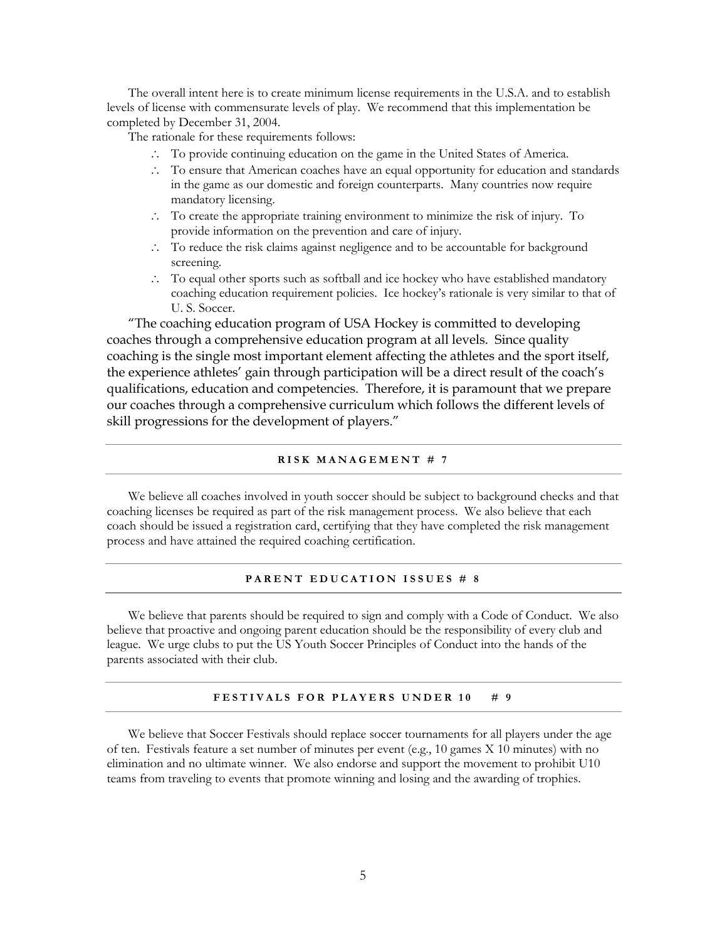The overall intent here is to create minimum license requirements in the U.S.A. and to establish levels of license with commensurate levels of play. We recommend that this implementation be completed by December 31, 2004.

The rationale for these requirements follows:

- To provide continuing education on the game in the United States of America.
- To ensure that American coaches have an equal opportunity for education and standards in the game as our domestic and foreign counterparts. Many countries now require mandatory licensing.
- To create the appropriate training environment to minimize the risk of injury. To provide information on the prevention and care of injury.
- To reduce the risk claims against negligence and to be accountable for background screening.
- $\therefore$  To equal other sports such as softball and ice hockey who have established mandatory coaching education requirement policies. Ice hockey's rationale is very similar to that of U. S. Soccer.

"The coaching education program of USA Hockey is committed to developing coaches through a comprehensive education program at all levels. Since quality coaching is the single most important element affecting the athletes and the sport itself, the experience athletes' gain through participation will be a direct result of the coach's qualifications, education and competencies. Therefore, it is paramount that we prepare our coaches through a comprehensive curriculum which follows the different levels of skill progressions for the development of players."

#### **R I S K M A N A G E M E N T # 7**

 We believe all coaches involved in youth soccer should be subject to background checks and that coaching licenses be required as part of the risk management process. We also believe that each coach should be issued a registration card, certifying that they have completed the risk management process and have attained the required coaching certification.

#### **PARENT EDUCATION ISSUES # 8**

 We believe that parents should be required to sign and comply with a Code of Conduct. We also believe that proactive and ongoing parent education should be the responsibility of every club and league. We urge clubs to put the US Youth Soccer Principles of Conduct into the hands of the parents associated with their club.

#### FESTIVALS FOR PLAYERS UNDER 10 # 9

 We believe that Soccer Festivals should replace soccer tournaments for all players under the age of ten. Festivals feature a set number of minutes per event (e.g., 10 games X 10 minutes) with no elimination and no ultimate winner. We also endorse and support the movement to prohibit U10 teams from traveling to events that promote winning and losing and the awarding of trophies.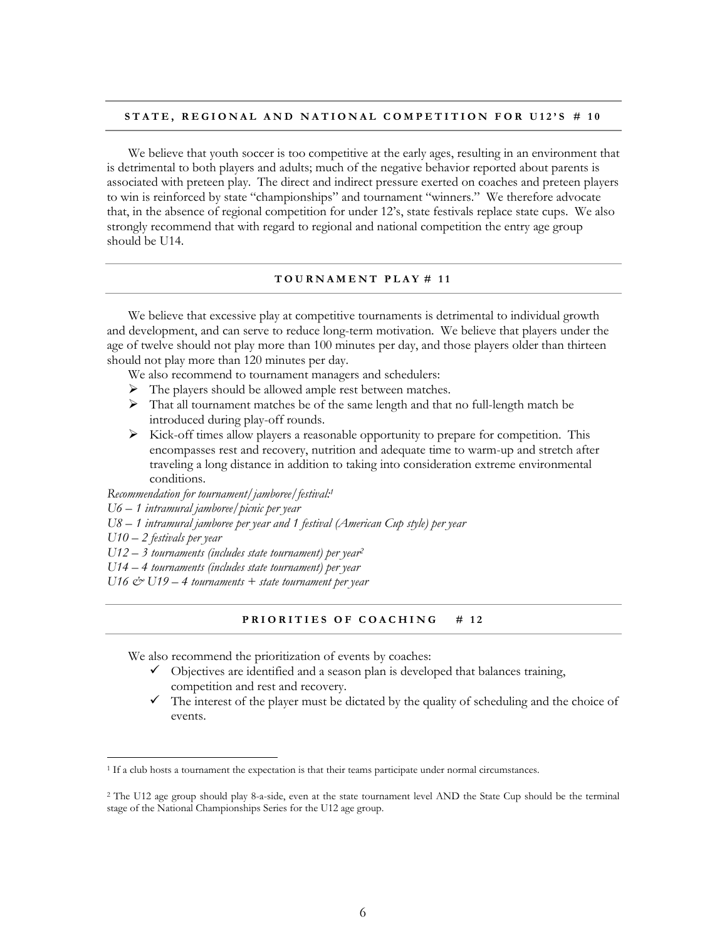#### STATE, REGIONAL AND NATIONAL COMPETITION FOR U12'S # 10

We believe that youth soccer is too competitive at the early ages, resulting in an environment that is detrimental to both players and adults; much of the negative behavior reported about parents is associated with preteen play. The direct and indirect pressure exerted on coaches and preteen players to win is reinforced by state "championships" and tournament "winners." We therefore advocate that, in the absence of regional competition for under 12's, state festivals replace state cups. We also strongly recommend that with regard to regional and national competition the entry age group should be U14.

#### **T O U R N A M E N T P L A Y # 1 1**

We believe that excessive play at competitive tournaments is detrimental to individual growth and development, and can serve to reduce long-term motivation. We believe that players under the age of twelve should not play more than 100 minutes per day, and those players older than thirteen should not play more than 120 minutes per day.

We also recommend to tournament managers and schedulers:

- $\triangleright$  The players should be allowed ample rest between matches.
- That all tournament matches be of the same length and that no full-length match be introduced during play-off rounds.
- $\triangleright$  Kick-off times allow players a reasonable opportunity to prepare for competition. This encompasses rest and recovery, nutrition and adequate time to warm-up and stretch after traveling a long distance in addition to taking into consideration extreme environmental conditions.

*Recommendation for tournament/jamboree/festival:<sup>1</sup>*

*U6 – 1 intramural jamboree/picnic per year* 

*U8 – 1 intramural jamboree per year and 1 festival (American Cup style) per year* 

*U10 – 2 festivals per year* 

 $\overline{a}$ 

*U12 – 3 tournaments (includes state tournament) per year<sup>2</sup>*

*U14 – 4 tournaments (includes state tournament) per year* 

*U16 & U19 – 4 tournaments + state tournament per year* 

#### **PRIORITIES OF COACHING # 12**

We also recommend the prioritization of events by coaches:

- $\checkmark$  Objectives are identified and a season plan is developed that balances training, competition and rest and recovery.
- $\checkmark$  The interest of the player must be dictated by the quality of scheduling and the choice of events.

<sup>&</sup>lt;sup>1</sup> If a club hosts a tournament the expectation is that their teams participate under normal circumstances.

<sup>&</sup>lt;sup>2</sup> The U12 age group should play 8-a-side, even at the state tournament level AND the State Cup should be the terminal stage of the National Championships Series for the U12 age group.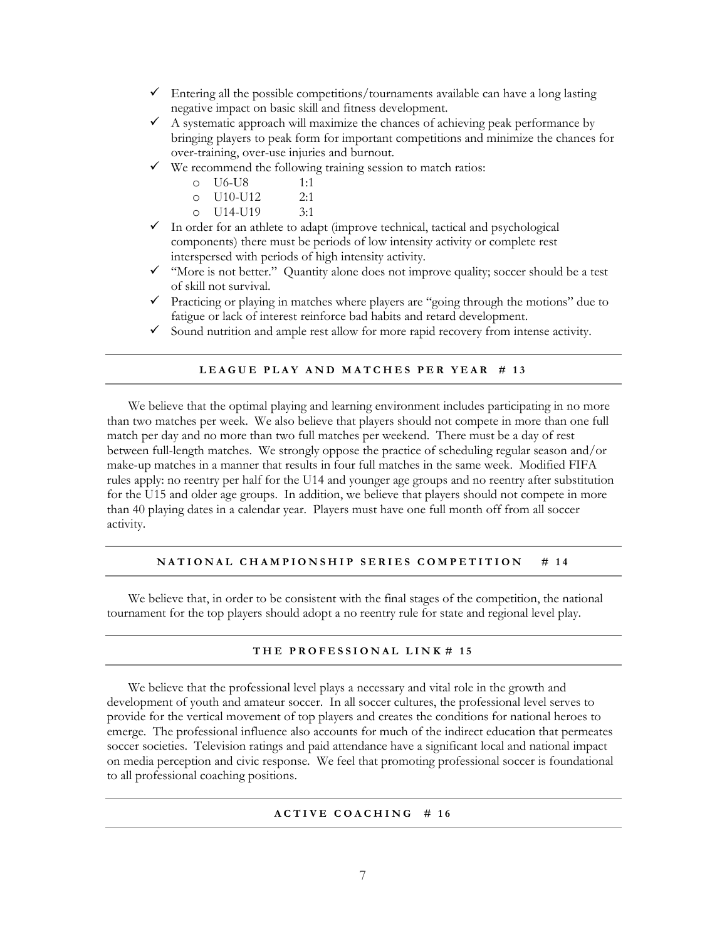- $\checkmark$  Entering all the possible competitions/tournaments available can have a long lasting negative impact on basic skill and fitness development.
- A systematic approach will maximize the chances of achieving peak performance by bringing players to peak form for important competitions and minimize the chances for over-training, over-use injuries and burnout.
- $\checkmark$  We recommend the following training session to match ratios:

| U6-U8<br>O | 1:1 |
|------------|-----|
|            |     |

- o U10-U12 2:1
- o U14-U19 3:1
- $\checkmark$  In order for an athlete to adapt (improve technical, tactical and psychological components) there must be periods of low intensity activity or complete rest interspersed with periods of high intensity activity.
- $\checkmark$  "More is not better." Quantity alone does not improve quality; soccer should be a test of skill not survival.
- $\checkmark$  Practicing or playing in matches where players are "going through the motions" due to fatigue or lack of interest reinforce bad habits and retard development.
- $\checkmark$  Sound nutrition and ample rest allow for more rapid recovery from intense activity.

#### LEAGUE PLAY AND MATCHES PER YEAR # 13

We believe that the optimal playing and learning environment includes participating in no more than two matches per week. We also believe that players should not compete in more than one full match per day and no more than two full matches per weekend. There must be a day of rest between full-length matches. We strongly oppose the practice of scheduling regular season and/or make-up matches in a manner that results in four full matches in the same week. Modified FIFA rules apply: no reentry per half for the U14 and younger age groups and no reentry after substitution for the U15 and older age groups. In addition, we believe that players should not compete in more than 40 playing dates in a calendar year. Players must have one full month off from all soccer activity.

#### **NATIONAL CHAMPIONSHIP SERIES COMPETITION** # 14

 We believe that, in order to be consistent with the final stages of the competition, the national tournament for the top players should adopt a no reentry rule for state and regional level play.

#### **T H E P R O F E S S I O N A L L I N K # 1 5**

 We believe that the professional level plays a necessary and vital role in the growth and development of youth and amateur soccer. In all soccer cultures, the professional level serves to provide for the vertical movement of top players and creates the conditions for national heroes to emerge. The professional influence also accounts for much of the indirect education that permeates soccer societies. Television ratings and paid attendance have a significant local and national impact on media perception and civic response. We feel that promoting professional soccer is foundational to all professional coaching positions.

#### **A C T I V E C O A C H I N G # 1 6**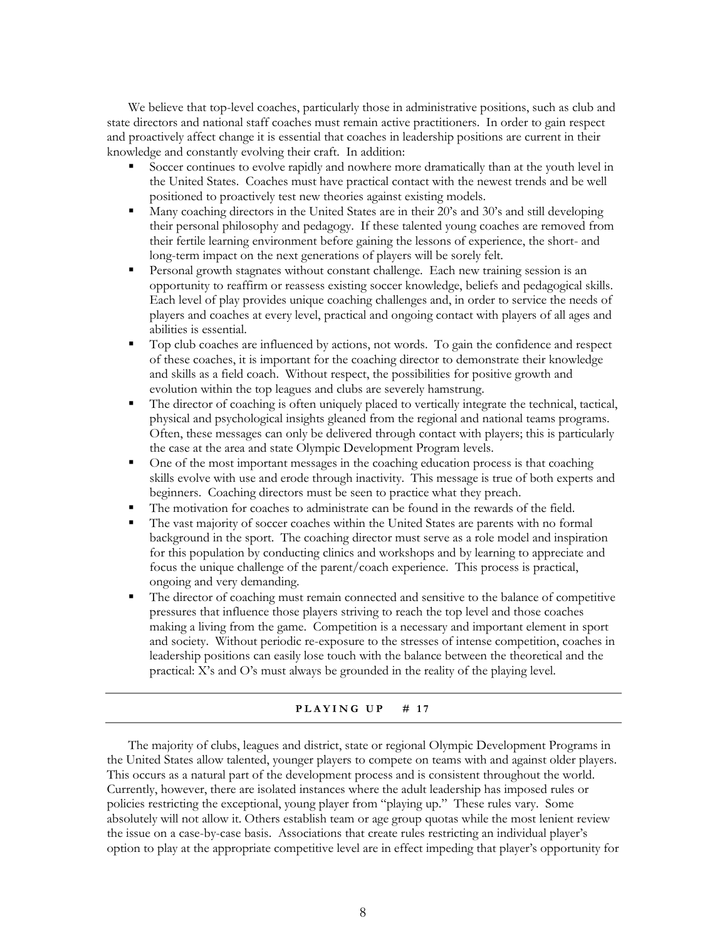We believe that top-level coaches, particularly those in administrative positions, such as club and state directors and national staff coaches must remain active practitioners. In order to gain respect and proactively affect change it is essential that coaches in leadership positions are current in their knowledge and constantly evolving their craft. In addition:

- Soccer continues to evolve rapidly and nowhere more dramatically than at the youth level in the United States. Coaches must have practical contact with the newest trends and be well positioned to proactively test new theories against existing models.
- Many coaching directors in the United States are in their 20's and 30's and still developing their personal philosophy and pedagogy. If these talented young coaches are removed from their fertile learning environment before gaining the lessons of experience, the short- and long-term impact on the next generations of players will be sorely felt.
- Personal growth stagnates without constant challenge. Each new training session is an opportunity to reaffirm or reassess existing soccer knowledge, beliefs and pedagogical skills. Each level of play provides unique coaching challenges and, in order to service the needs of players and coaches at every level, practical and ongoing contact with players of all ages and abilities is essential.
- Top club coaches are influenced by actions, not words. To gain the confidence and respect of these coaches, it is important for the coaching director to demonstrate their knowledge and skills as a field coach. Without respect, the possibilities for positive growth and evolution within the top leagues and clubs are severely hamstrung.
- The director of coaching is often uniquely placed to vertically integrate the technical, tactical, physical and psychological insights gleaned from the regional and national teams programs. Often, these messages can only be delivered through contact with players; this is particularly the case at the area and state Olympic Development Program levels.
- One of the most important messages in the coaching education process is that coaching skills evolve with use and erode through inactivity. This message is true of both experts and beginners. Coaching directors must be seen to practice what they preach.
- The motivation for coaches to administrate can be found in the rewards of the field.
- The vast majority of soccer coaches within the United States are parents with no formal background in the sport. The coaching director must serve as a role model and inspiration for this population by conducting clinics and workshops and by learning to appreciate and focus the unique challenge of the parent/coach experience. This process is practical, ongoing and very demanding.
- The director of coaching must remain connected and sensitive to the balance of competitive pressures that influence those players striving to reach the top level and those coaches making a living from the game. Competition is a necessary and important element in sport and society. Without periodic re-exposure to the stresses of intense competition, coaches in leadership positions can easily lose touch with the balance between the theoretical and the practical: X's and O's must always be grounded in the reality of the playing level.

#### **PLAYING UP**  $\#$  17

 The majority of clubs, leagues and district, state or regional Olympic Development Programs in the United States allow talented, younger players to compete on teams with and against older players. This occurs as a natural part of the development process and is consistent throughout the world. Currently, however, there are isolated instances where the adult leadership has imposed rules or policies restricting the exceptional, young player from "playing up." These rules vary. Some absolutely will not allow it. Others establish team or age group quotas while the most lenient review the issue on a case-by-case basis. Associations that create rules restricting an individual player's option to play at the appropriate competitive level are in effect impeding that player's opportunity for